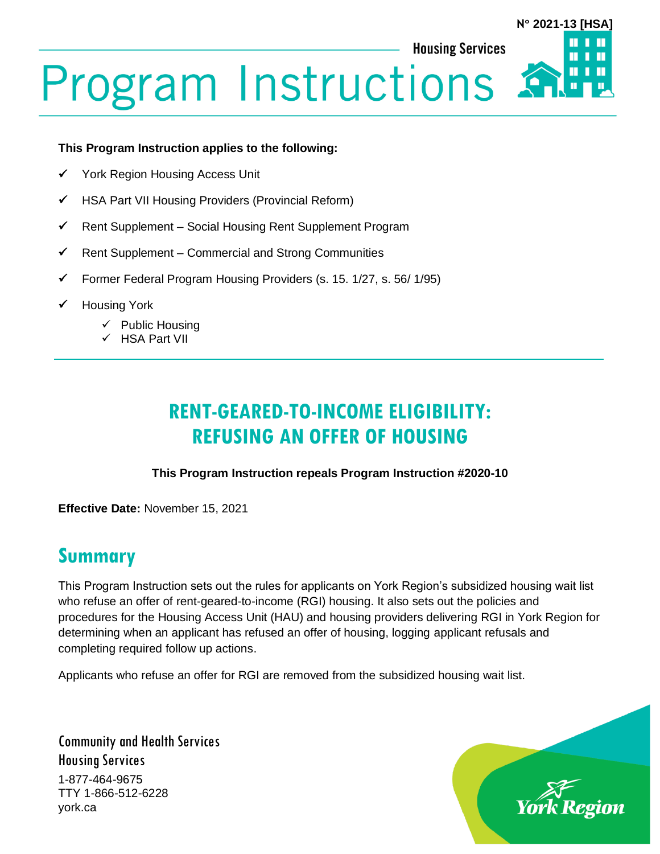# **Program Instructions**

#### **This Program Instruction applies to the following:**

- York Region Housing Access Unit
- ✓ HSA Part VII Housing Providers (Provincial Reform)
- $\checkmark$  Rent Supplement Social Housing Rent Supplement Program
- $\checkmark$  Rent Supplement Commercial and Strong Communities
- ✓ Former Federal Program Housing Providers (s. 15. 1/27, s. 56/ 1/95)
- **Housing York** 
	- $\checkmark$  Public Housing
	- ✓ HSA Part VII

## **RENT-GEARED-TO-INCOME ELIGIBILITY: REFUSING AN OFFER OF HOUSING**

#### **This Program Instruction repeals Program Instruction #2020-10**

**Effective Date:** November 15, 2021

#### **Summary**

This Program Instruction sets out the rules for applicants on York Region's subsidized housing wait list who refuse an offer of rent-geared-to-income (RGI) housing. It also sets out the policies and procedures for the Housing Access Unit (HAU) and housing providers delivering RGI in York Region for determining when an applicant has refused an offer of housing, logging applicant refusals and completing required follow up actions.

Applicants who refuse an offer for RGI are removed from the subsidized housing wait list.

Community and Health Services Housing Services 1-877-464-9675 TTY 1-866-512-6228 york.ca



**N 2021-13 [HSA]**

**Housing Services**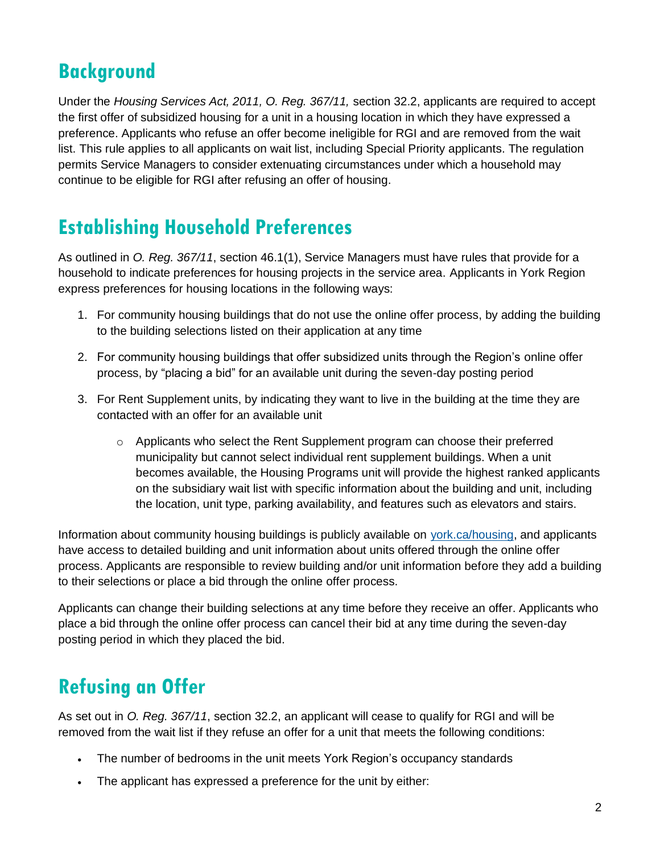# **Background**

Under the *Housing Services Act, 2011, O. Reg. 367/11,* section 32.2, applicants are required to accept the first offer of subsidized housing for a unit in a housing location in which they have expressed a preference. Applicants who refuse an offer become ineligible for RGI and are removed from the wait list. This rule applies to all applicants on wait list, including Special Priority applicants. The regulation permits Service Managers to consider extenuating circumstances under which a household may continue to be eligible for RGI after refusing an offer of housing.

# **Establishing Household Preferences**

As outlined in *O. Reg. 367/11*, section 46.1(1), Service Managers must have rules that provide for a household to indicate preferences for housing projects in the service area. Applicants in York Region express preferences for housing locations in the following ways:

- 1. For community housing buildings that do not use the online offer process, by adding the building to the building selections listed on their application at any time
- 2. For community housing buildings that offer subsidized units through the Region's online offer process, by "placing a bid" for an available unit during the seven-day posting period
- 3. For Rent Supplement units, by indicating they want to live in the building at the time they are contacted with an offer for an available unit
	- $\circ$  Applicants who select the Rent Supplement program can choose their preferred municipality but cannot select individual rent supplement buildings. When a unit becomes available, the Housing Programs unit will provide the highest ranked applicants on the subsidiary wait list with specific information about the building and unit, including the location, unit type, parking availability, and features such as elevators and stairs.

Information about community housing buildings is publicly available on [york.ca/housing,](https://www.york.ca/wps/portal/yorkhome/support/yr/housing/!ut/p/z1/jY_LDoIwEEW_hQ8wMzQI3Tb4aAsEjTHibEw3lCZaiKILv15C3ArO7ibnPgYIKiBvXs6a3rXeXAd9pviixFZJmaEuI56iwFJolnBc5wmcRgB_nECgf_wTAE3H67mC4QN2L9LCAnWmbxbO1y1UTft8OG-HehoDGItiGaaoUZYc1SbZLVdchriPZoCMfYGJjd3tWL3z-qBsEHwAGMsgeg!!/dz/d5/L2dBISEvZ0FBIS9nQSEh/) and applicants have access to detailed building and unit information about units offered through the online offer process. Applicants are responsible to review building and/or unit information before they add a building to their selections or place a bid through the online offer process.

Applicants can change their building selections at any time before they receive an offer. Applicants who place a bid through the online offer process can cancel their bid at any time during the seven-day posting period in which they placed the bid.

# **Refusing an Offer**

As set out in *O. Reg. 367/11*, section 32.2, an applicant will cease to qualify for RGI and will be removed from the wait list if they refuse an offer for a unit that meets the following conditions:

- The number of bedrooms in the unit meets York Region's occupancy standards
- The applicant has expressed a preference for the unit by either: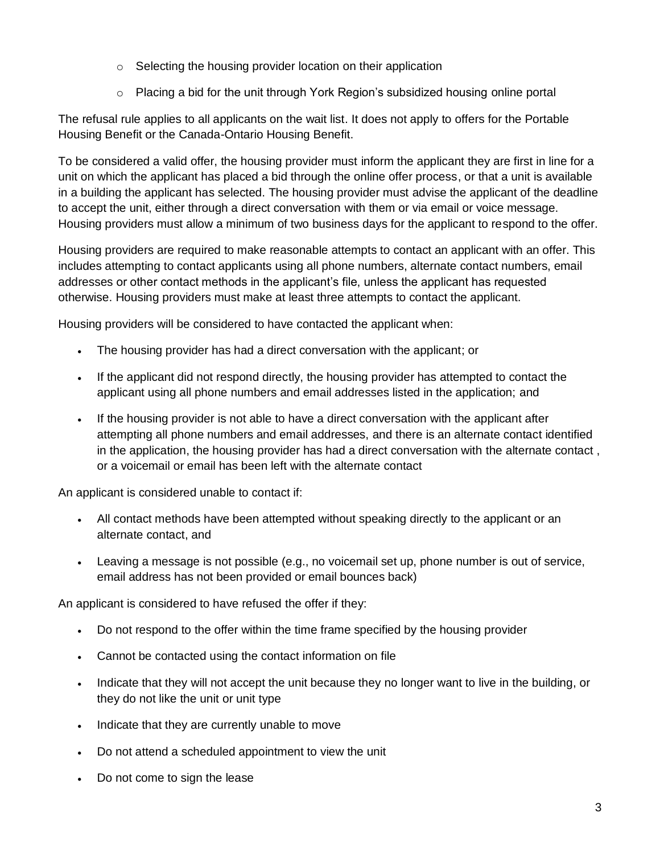- o Selecting the housing provider location on their application
- $\circ$  Placing a bid for the unit through York Region's subsidized housing online portal

The refusal rule applies to all applicants on the wait list. It does not apply to offers for the Portable Housing Benefit or the Canada-Ontario Housing Benefit.

To be considered a valid offer, the housing provider must inform the applicant they are first in line for a unit on which the applicant has placed a bid through the online offer process, or that a unit is available in a building the applicant has selected. The housing provider must advise the applicant of the deadline to accept the unit, either through a direct conversation with them or via email or voice message. Housing providers must allow a minimum of two business days for the applicant to respond to the offer.

Housing providers are required to make reasonable attempts to contact an applicant with an offer. This includes attempting to contact applicants using all phone numbers, alternate contact numbers, email addresses or other contact methods in the applicant's file, unless the applicant has requested otherwise. Housing providers must make at least three attempts to contact the applicant.

Housing providers will be considered to have contacted the applicant when:

- The housing provider has had a direct conversation with the applicant; or
- If the applicant did not respond directly, the housing provider has attempted to contact the applicant using all phone numbers and email addresses listed in the application; and
- If the housing provider is not able to have a direct conversation with the applicant after attempting all phone numbers and email addresses, and there is an alternate contact identified in the application, the housing provider has had a direct conversation with the alternate contact , or a voicemail or email has been left with the alternate contact

An applicant is considered unable to contact if:

- All contact methods have been attempted without speaking directly to the applicant or an alternate contact, and
- Leaving a message is not possible (e.g., no voicemail set up, phone number is out of service, email address has not been provided or email bounces back)

An applicant is considered to have refused the offer if they:

- Do not respond to the offer within the time frame specified by the housing provider
- Cannot be contacted using the contact information on file
- Indicate that they will not accept the unit because they no longer want to live in the building, or they do not like the unit or unit type
- Indicate that they are currently unable to move
- Do not attend a scheduled appointment to view the unit
- Do not come to sign the lease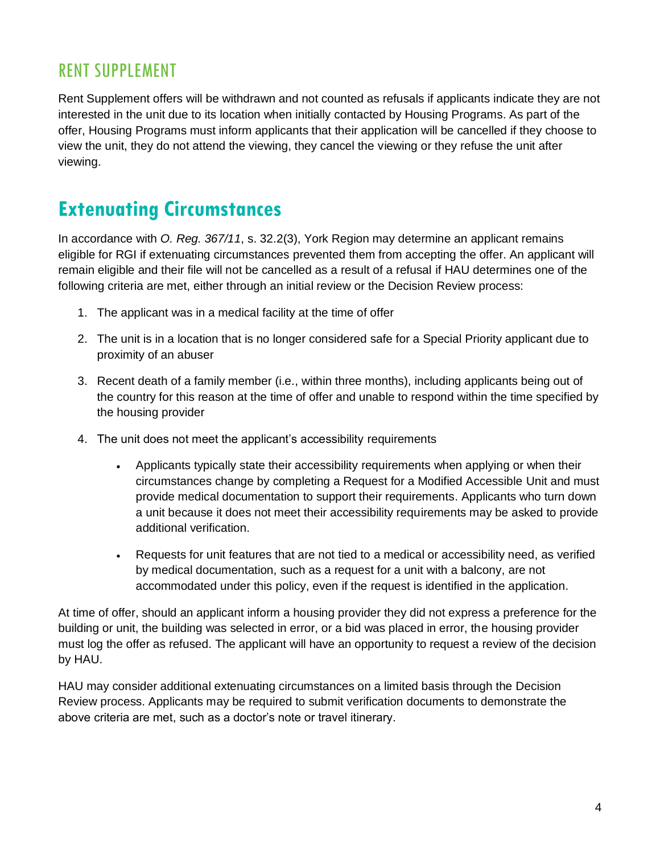#### RENT SUPPLEMENT

Rent Supplement offers will be withdrawn and not counted as refusals if applicants indicate they are not interested in the unit due to its location when initially contacted by Housing Programs. As part of the offer, Housing Programs must inform applicants that their application will be cancelled if they choose to view the unit, they do not attend the viewing, they cancel the viewing or they refuse the unit after viewing.

## **Extenuating Circumstances**

In accordance with *O. Reg. 367/11*, s. 32.2(3), York Region may determine an applicant remains eligible for RGI if extenuating circumstances prevented them from accepting the offer. An applicant will remain eligible and their file will not be cancelled as a result of a refusal if HAU determines one of the following criteria are met, either through an initial review or the Decision Review process:

- 1. The applicant was in a medical facility at the time of offer
- 2. The unit is in a location that is no longer considered safe for a Special Priority applicant due to proximity of an abuser
- 3. Recent death of a family member (i.e., within three months), including applicants being out of the country for this reason at the time of offer and unable to respond within the time specified by the housing provider
- 4. The unit does not meet the applicant's accessibility requirements
	- Applicants typically state their accessibility requirements when applying or when their circumstances change by completing a Request for a Modified Accessible Unit and must provide medical documentation to support their requirements. Applicants who turn down a unit because it does not meet their accessibility requirements may be asked to provide additional verification.
	- Requests for unit features that are not tied to a medical or accessibility need, as verified by medical documentation, such as a request for a unit with a balcony, are not accommodated under this policy, even if the request is identified in the application.

At time of offer, should an applicant inform a housing provider they did not express a preference for the building or unit, the building was selected in error, or a bid was placed in error, the housing provider must log the offer as refused. The applicant will have an opportunity to request a review of the decision by HAU.

HAU may consider additional extenuating circumstances on a limited basis through the Decision Review process. Applicants may be required to submit verification documents to demonstrate the above criteria are met, such as a doctor's note or travel itinerary.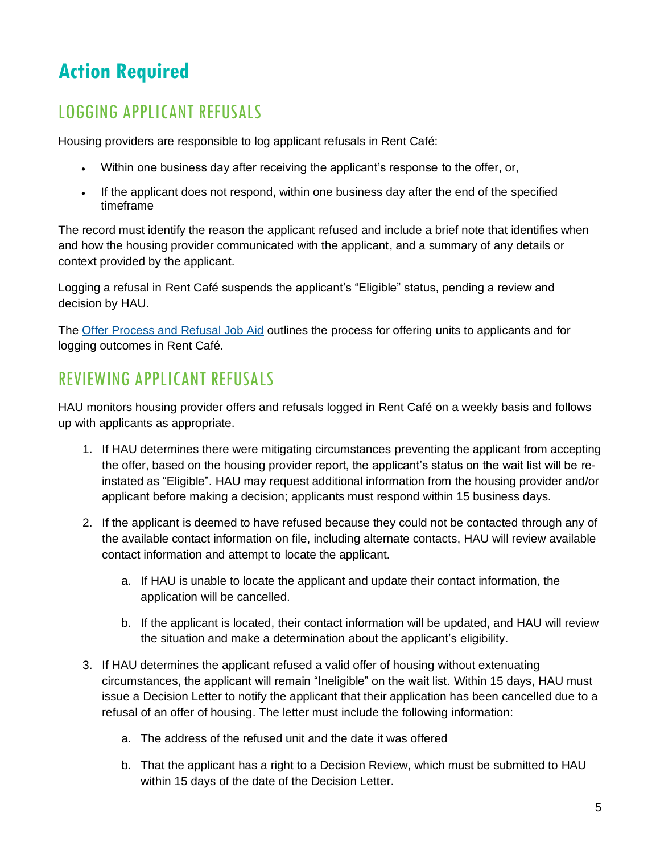# **Action Required**

## LOGGING APPLICANT REFUSALS

Housing providers are responsible to log applicant refusals in Rent Café:

- Within one business day after receiving the applicant's response to the offer, or,
- If the applicant does not respond, within one business day after the end of the specified timeframe

The record must identify the reason the applicant refused and include a brief note that identifies when and how the housing provider communicated with the applicant, and a summary of any details or context provided by the applicant.

Logging a refusal in Rent Café suspends the applicant's "Eligible" status, pending a review and decision by HAU.

The [Offer Process and Refusal Job Aid](https://www.york.ca/wps/wcm/connect/yorkpublic/f77223b1-ca22-48cf-9388-ea63161c08a2/Housing-Provider-Offer-Process-and-Refusals-Job-Aid.pdf?MOD=AJPERES) outlines the process for offering units to applicants and for logging outcomes in Rent Café.

### REVIEWING APPLICANT REFUSALS

HAU monitors housing provider offers and refusals logged in Rent Café on a weekly basis and follows up with applicants as appropriate.

- 1. If HAU determines there were mitigating circumstances preventing the applicant from accepting the offer, based on the housing provider report, the applicant's status on the wait list will be reinstated as "Eligible". HAU may request additional information from the housing provider and/or applicant before making a decision; applicants must respond within 15 business days.
- 2. If the applicant is deemed to have refused because they could not be contacted through any of the available contact information on file, including alternate contacts, HAU will review available contact information and attempt to locate the applicant.
	- a. If HAU is unable to locate the applicant and update their contact information, the application will be cancelled.
	- b. If the applicant is located, their contact information will be updated, and HAU will review the situation and make a determination about the applicant's eligibility.
- 3. If HAU determines the applicant refused a valid offer of housing without extenuating circumstances, the applicant will remain "Ineligible" on the wait list. Within 15 days, HAU must issue a Decision Letter to notify the applicant that their application has been cancelled due to a refusal of an offer of housing. The letter must include the following information:
	- a. The address of the refused unit and the date it was offered
	- b. That the applicant has a right to a Decision Review, which must be submitted to HAU within 15 days of the date of the Decision Letter.